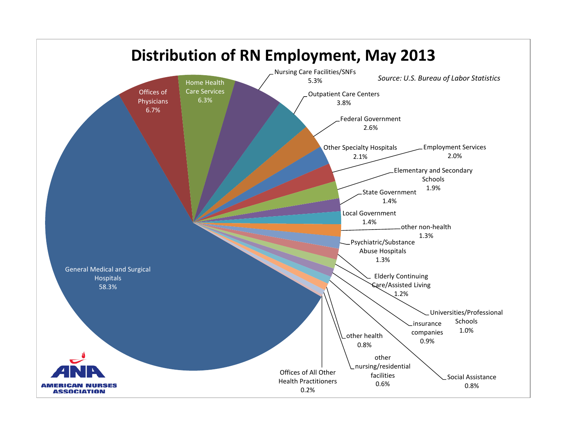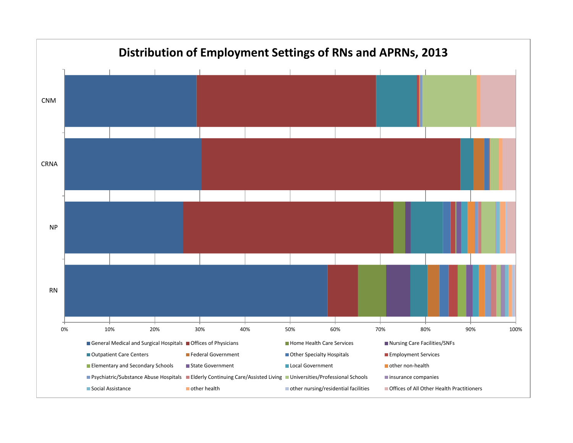